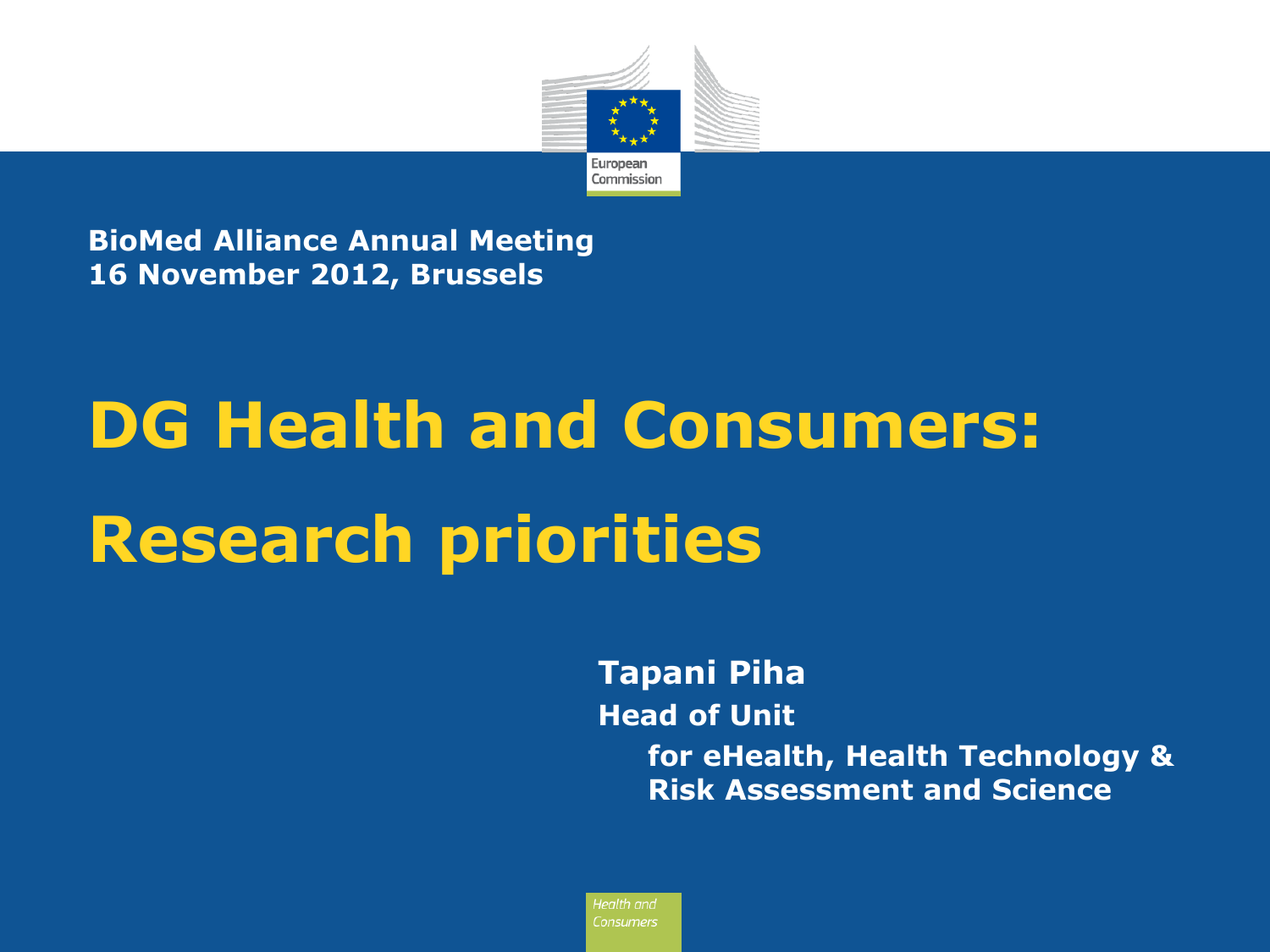

**BioMed Alliance Annual Meeting 16 November 2012, Brussels**

# **DG Health and Consumers: Research priorities**

**Tapani Piha Head of Unit for eHealth, Health Technology & Risk Assessment and Science**

Health and Consumers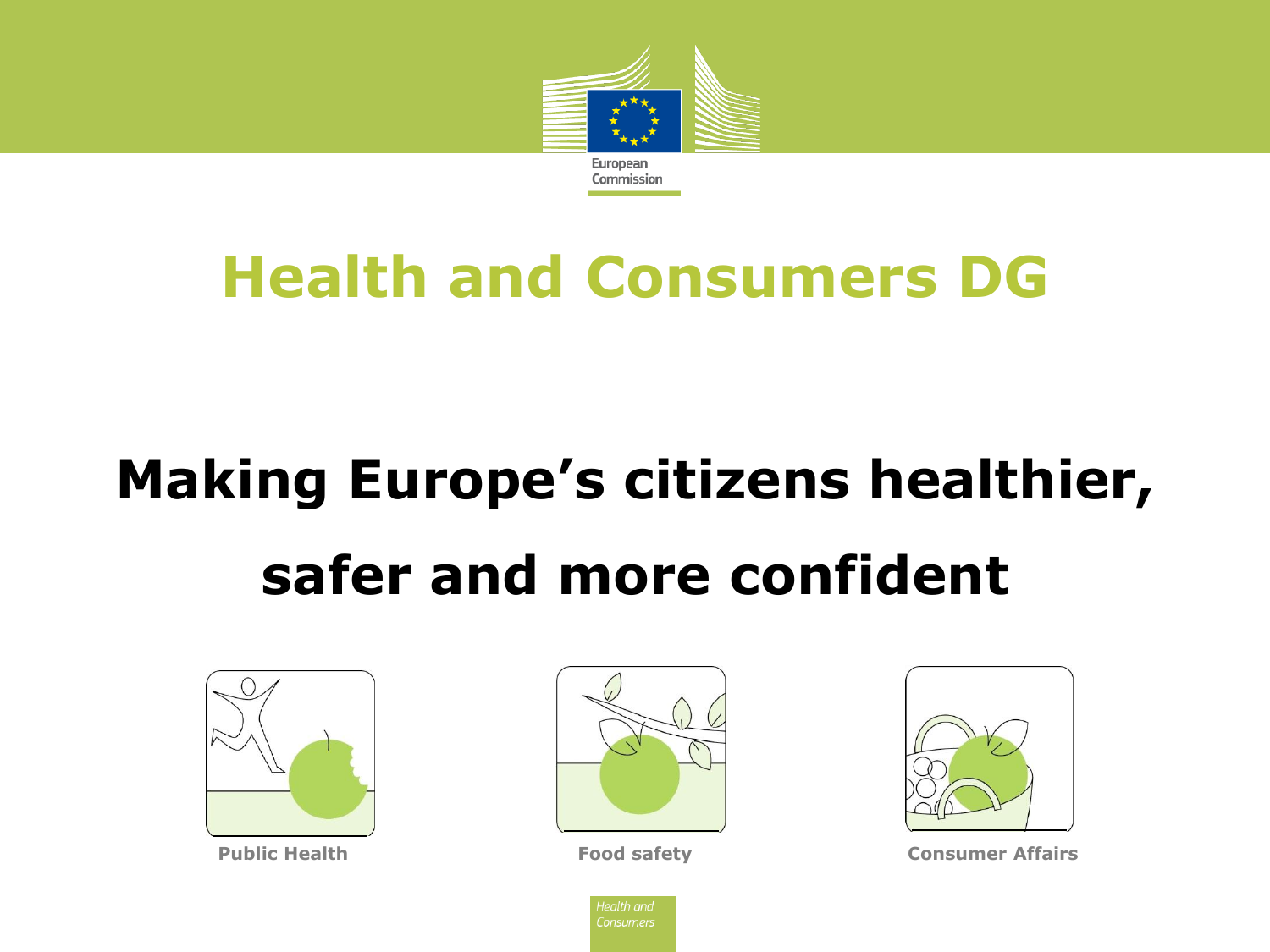

# **Health and Consumers DG**

# **Making Europe's citizens healthier, safer and more confident**







**Public Health Food safety Food safety Consumer Affairs** 

lealth and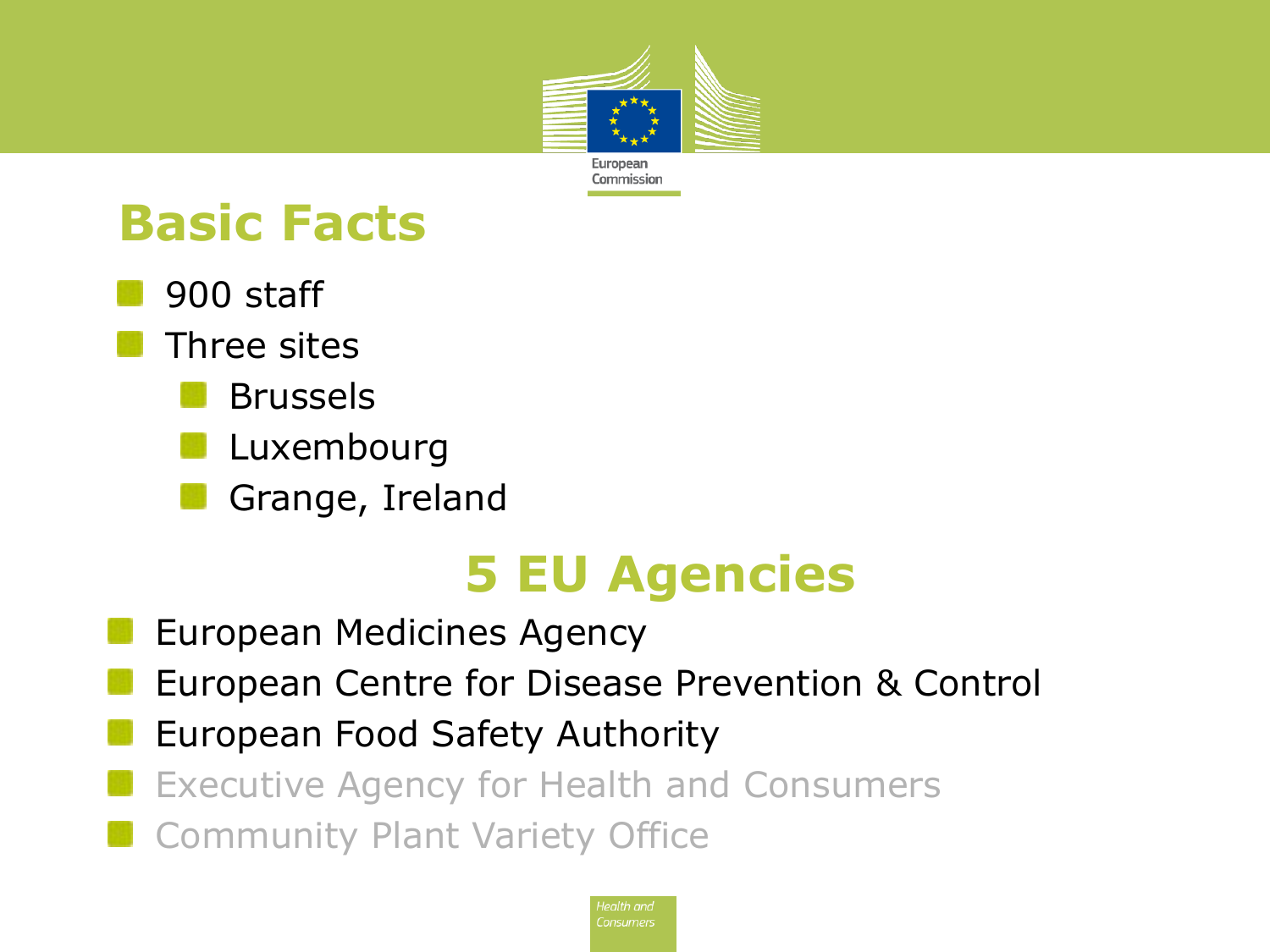

### **Basic Facts**

- 900 staff
	- Three sites
		- Brussels
		- Luxembourg
		- Grange, Ireland

## **5 EU Agencies**

- European Medicines Agency
- European Centre for Disease Prevention & Control
- European Food Safety Authority
- Executive Agency for Health and Consumers
- Community Plant Variety Office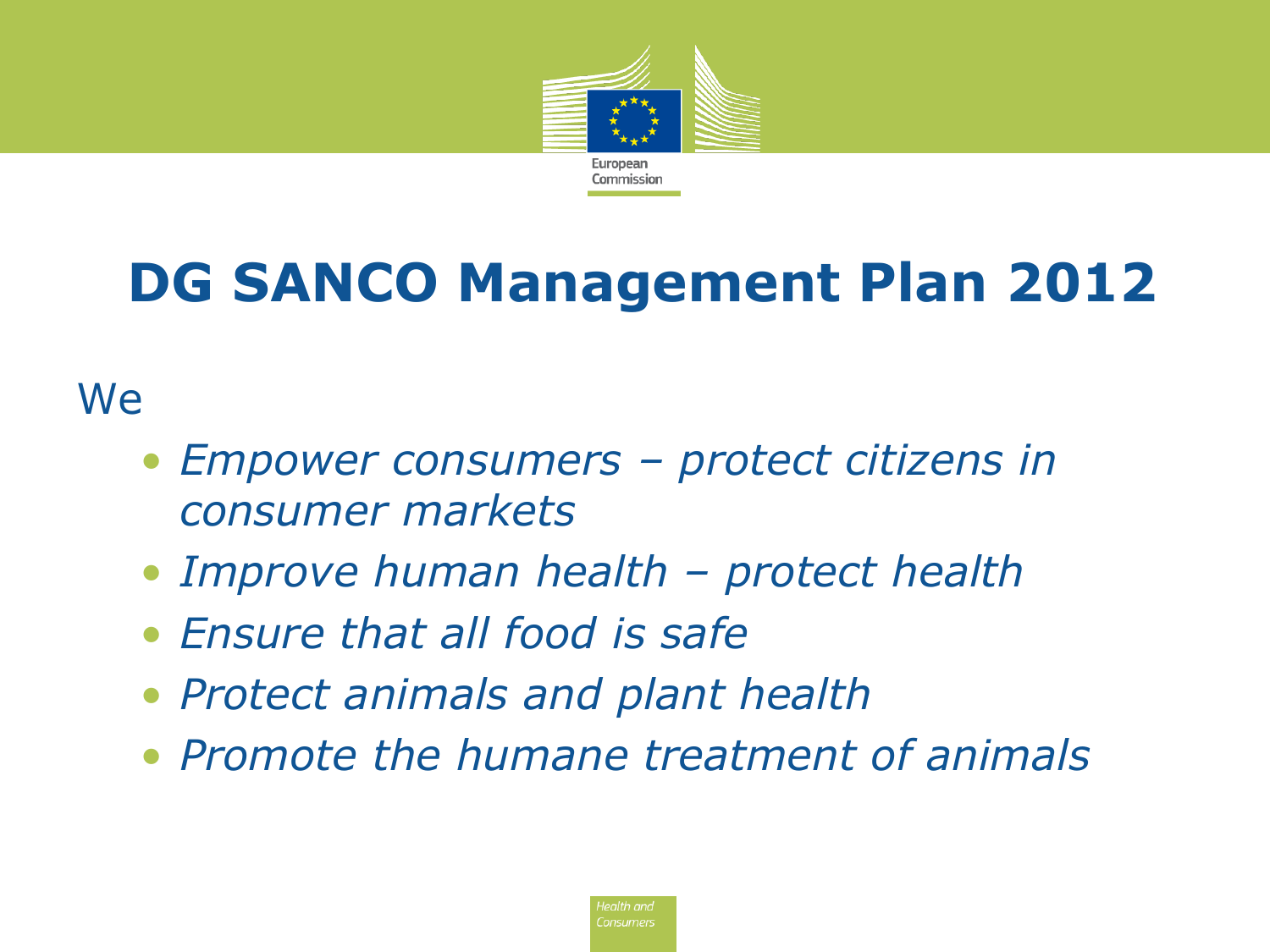

# **DG SANCO Management Plan 2012**

#### **We**

- *Empower consumers – protect citizens in consumer markets*
- *Improve human health – protect health*
- *Ensure that all food is safe*
- *Protect animals and plant health*
- *Promote the humane treatment of animals*

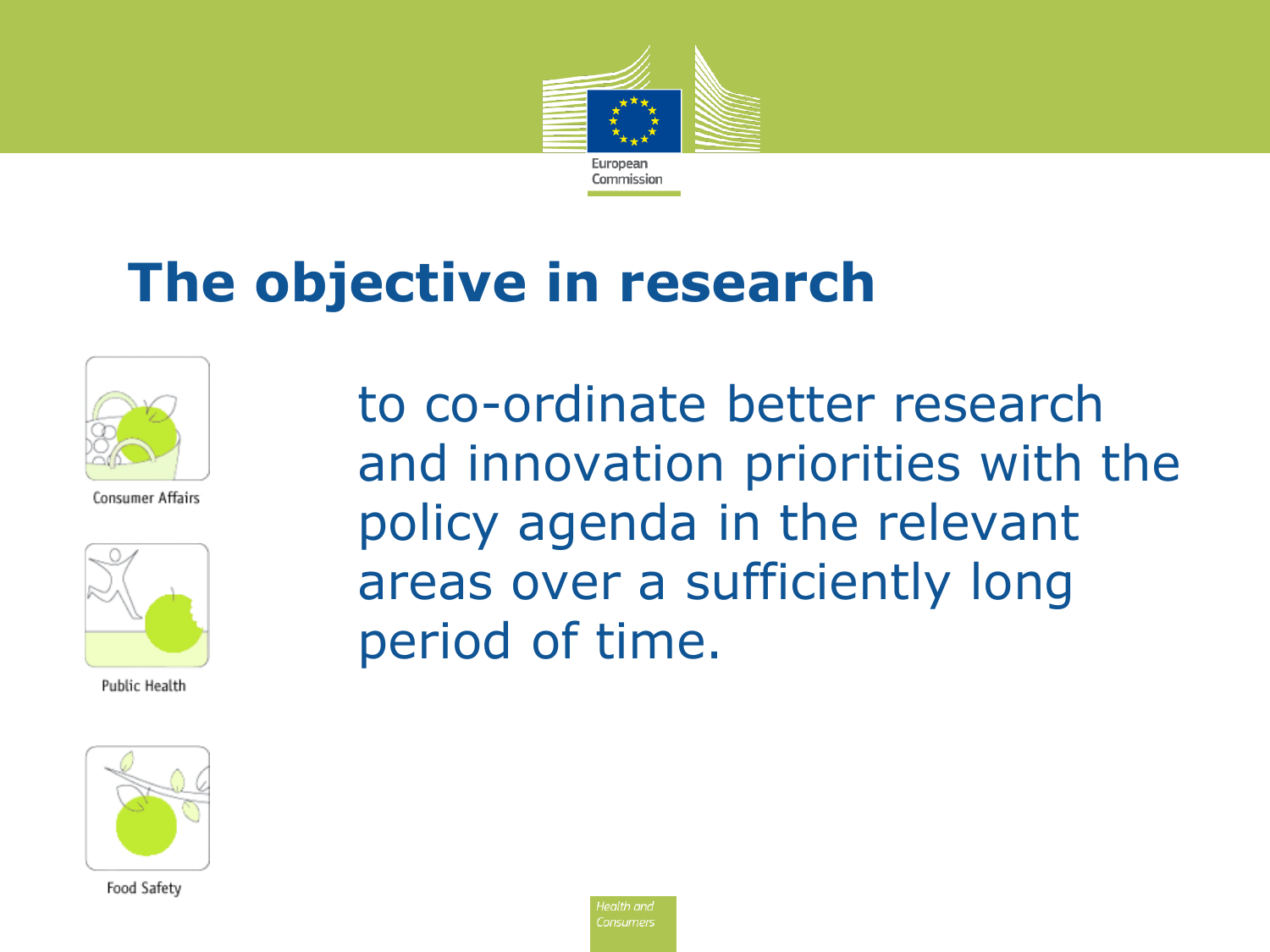

## **The objective in research**



Consumer Affairs



Public Health

Food Safety

to co-ordinate better research and innovation priorities with the policy agenda in the relevant areas over a sufficiently long period of time.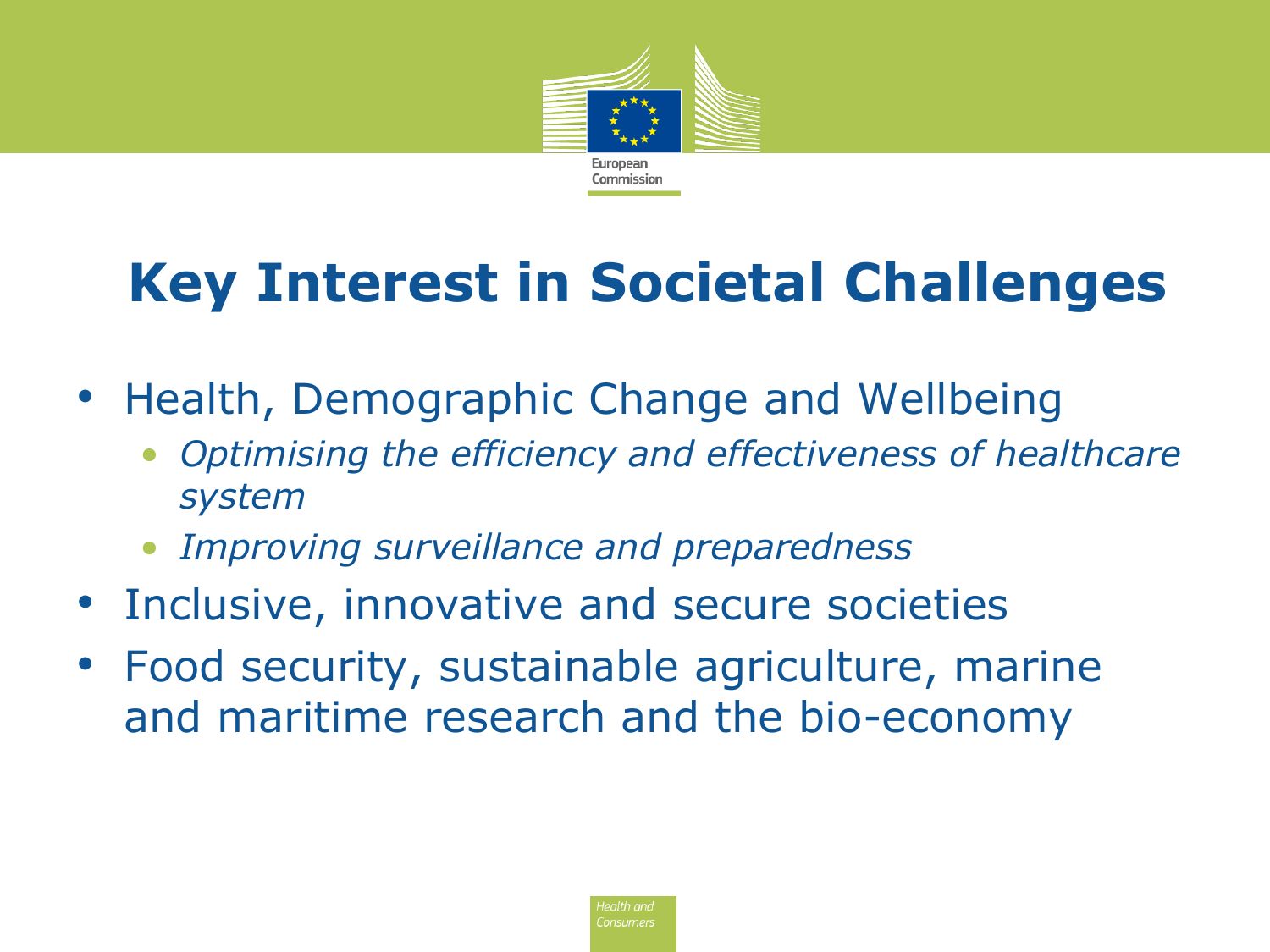

# **Key Interest in Societal Challenges**

- Health, Demographic Change and Wellbeing
	- *Optimising the efficiency and effectiveness of healthcare system*
	- *Improving surveillance and preparedness*
- Inclusive, innovative and secure societies
- Food security, sustainable agriculture, marine and maritime research and the bio-economy

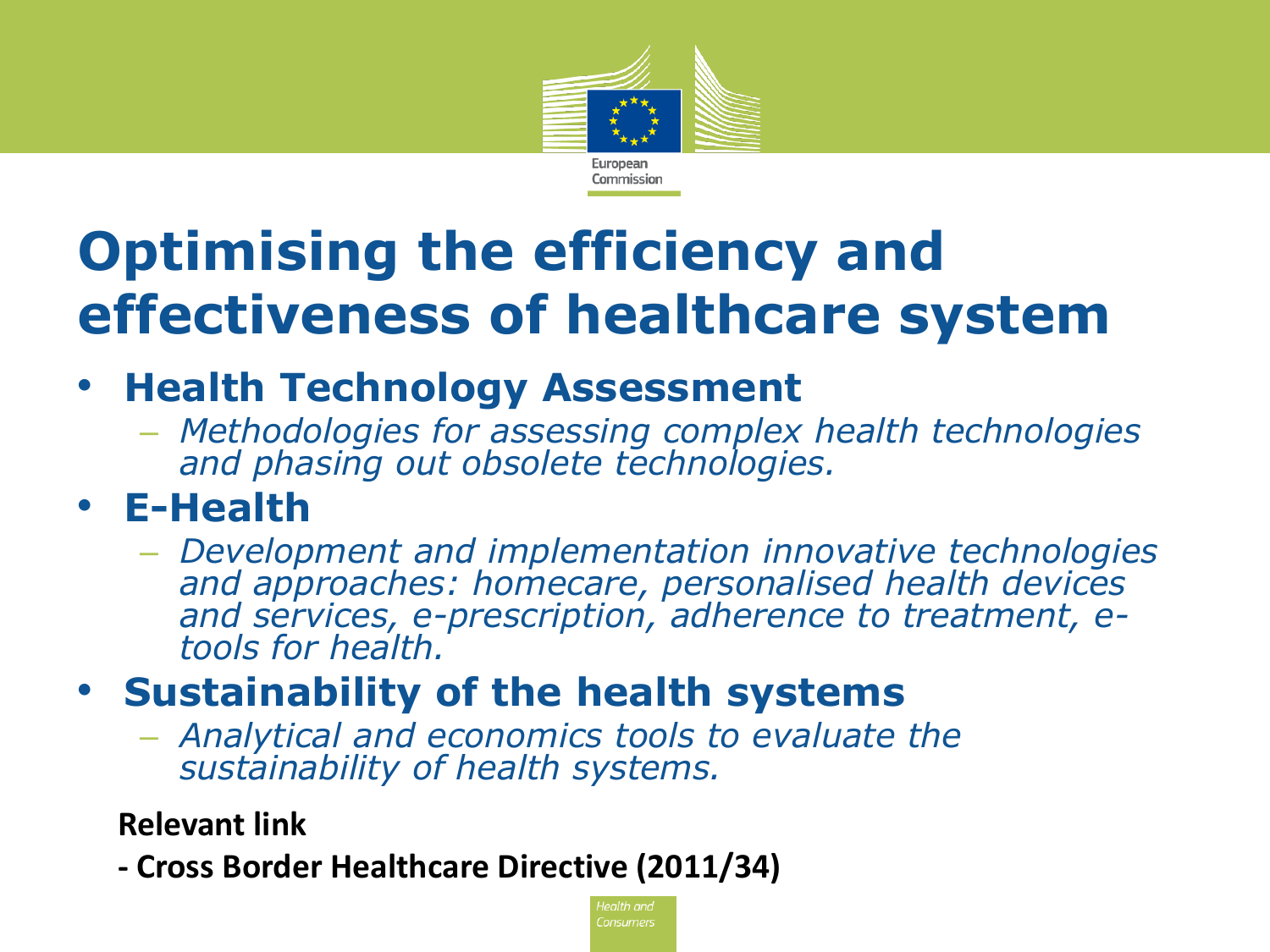

# **Optimising the efficiency and effectiveness of healthcare system**

#### • **Health Technology Assessment**

– *Methodologies for assessing complex health technologies and phasing out obsolete technologies.*

#### • **E-Health**

– *Development and implementation innovative technologies and approaches: homecare, personalised health devices and services, e-prescription, adherence to treatment, etools for health.*

#### • **Sustainability of the health systems**

– *Analytical and economics tools to evaluate the sustainability of health systems.*

#### **Relevant link**

**- Cross Border Healthcare Directive (2011/34)**

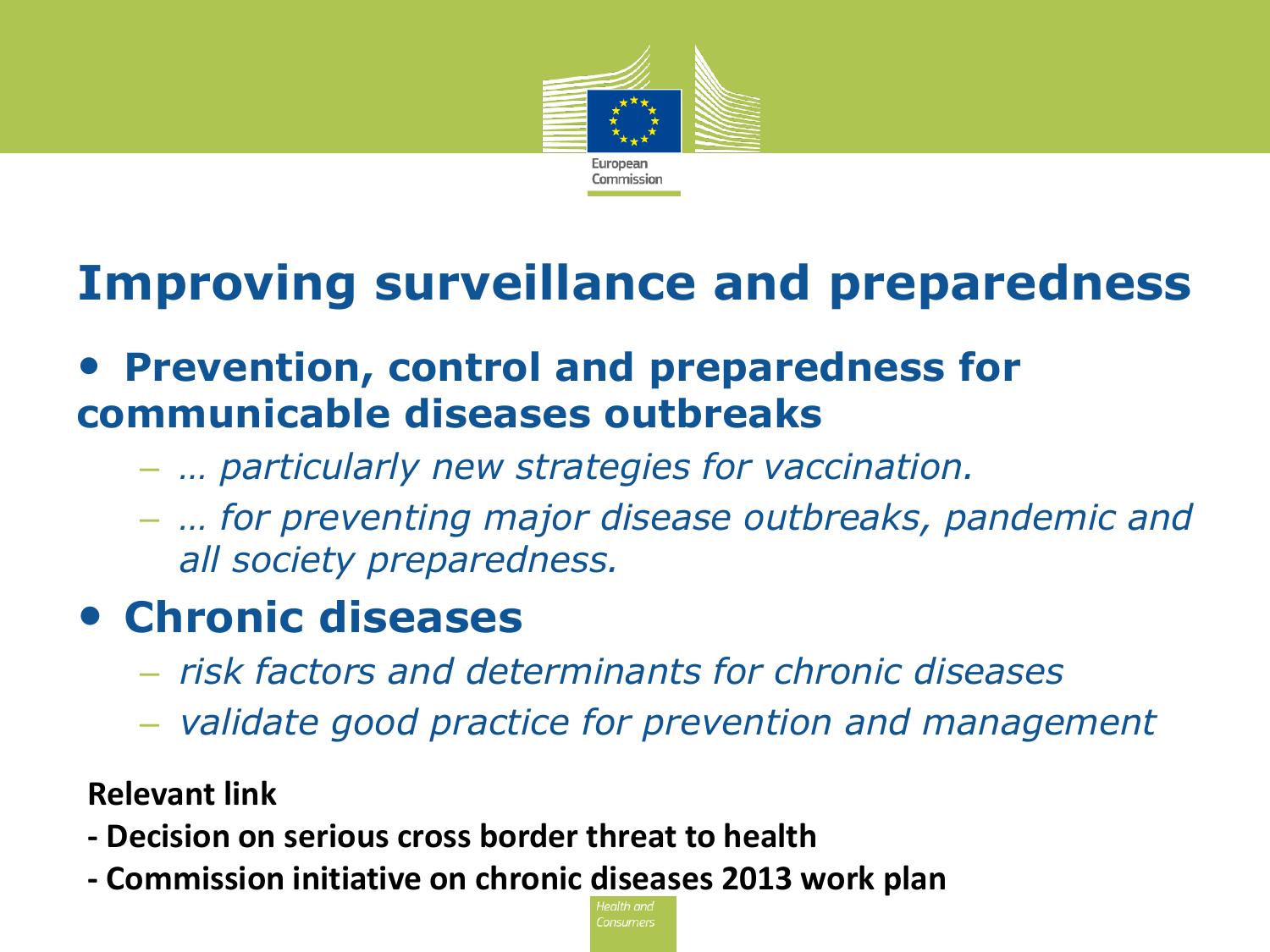

### **Improving surveillance and preparedness**

#### • **Prevention, control and preparedness for communicable diseases outbreaks**

- *… particularly new strategies for vaccination.*
- *… for preventing major disease outbreaks, pandemic and all society preparedness.*

#### • **Chronic diseases**

- *risk factors and determinants for chronic diseases*
- *validate good practice for prevention and management*

**Relevant link**

- **- Decision on serious cross border threat to health**
- **- Commission initiative on chronic diseases 2013 work plan**

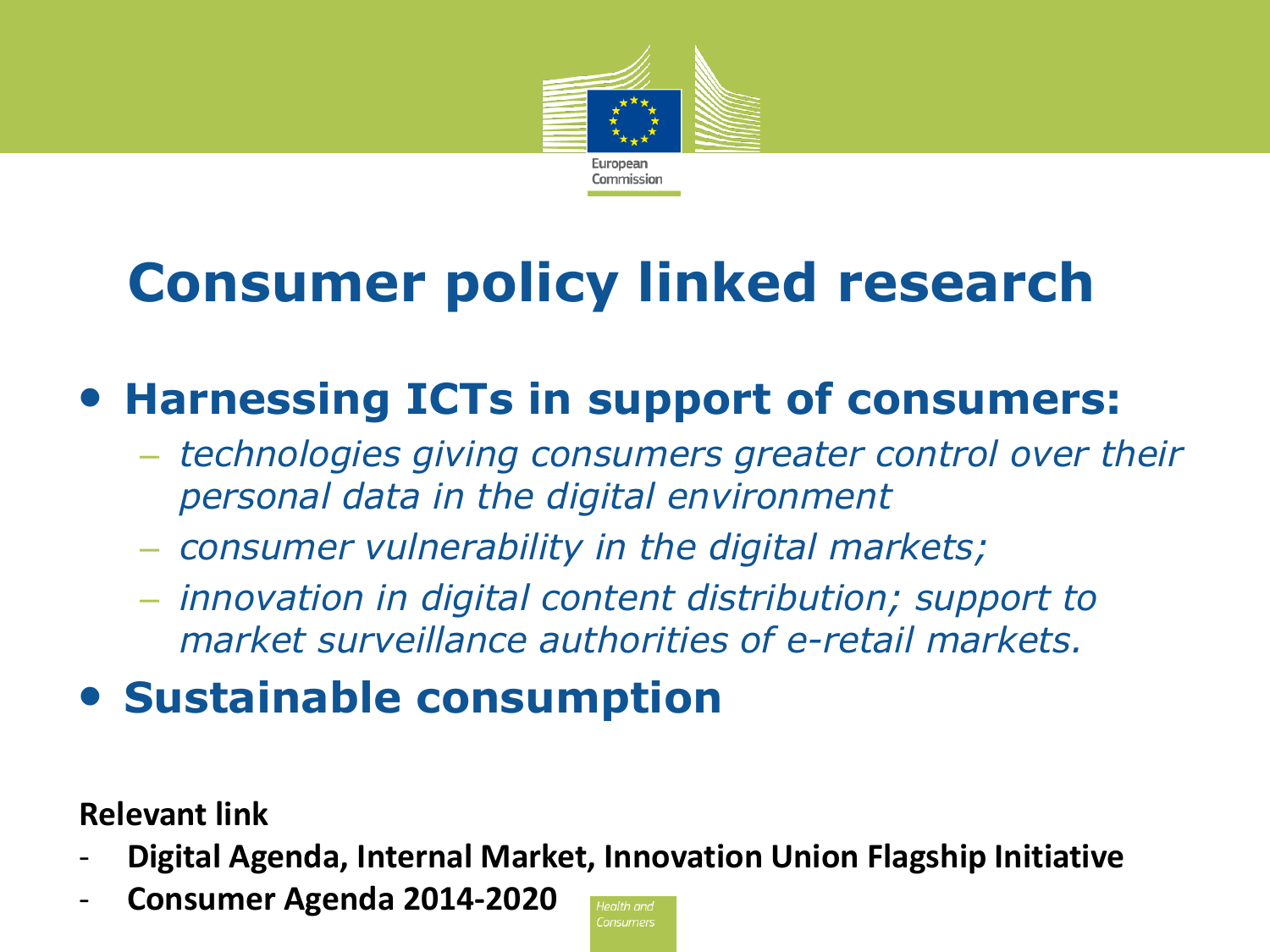

# **Consumer policy linked research**

### • **Harnessing ICTs in support of consumers:**

- *technologies giving consumers greater control over their personal data in the digital environment*
- *consumer vulnerability in the digital markets;*
- *innovation in digital content distribution; support to market surveillance authorities of e-retail markets.*
- **Sustainable consumption**

**Relevant link**

- **Digital Agenda, Internal Market, Innovation Union Flagship Initiative**
- **Consumer Agenda 2014-2020**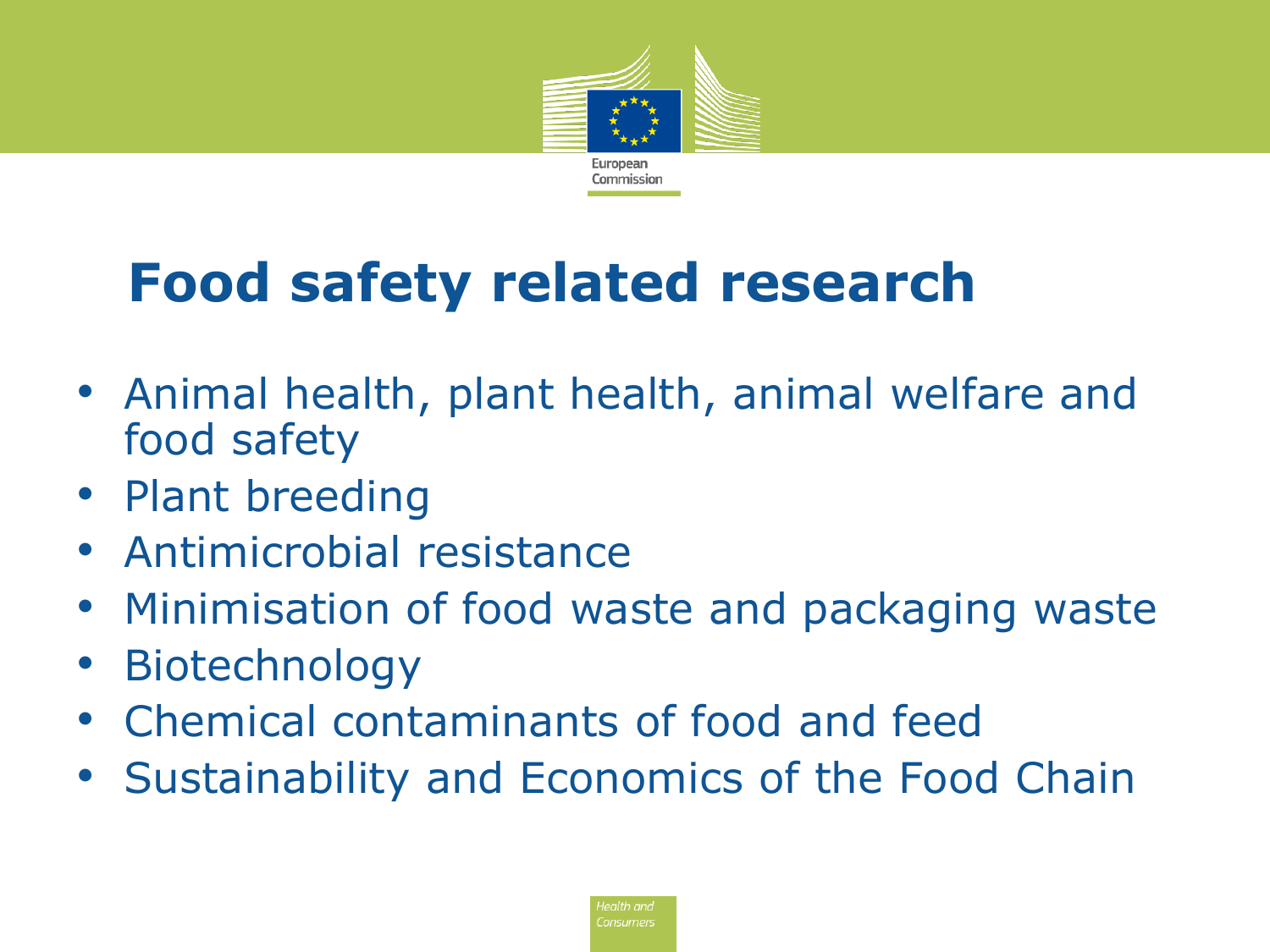

# **Food safety related research**

- Animal health, plant health, animal welfare and food safety
- Plant breeding
- Antimicrobial resistance
- Minimisation of food waste and packaging waste
- **Biotechnology**
- Chemical contaminants of food and feed
- Sustainability and Economics of the Food Chain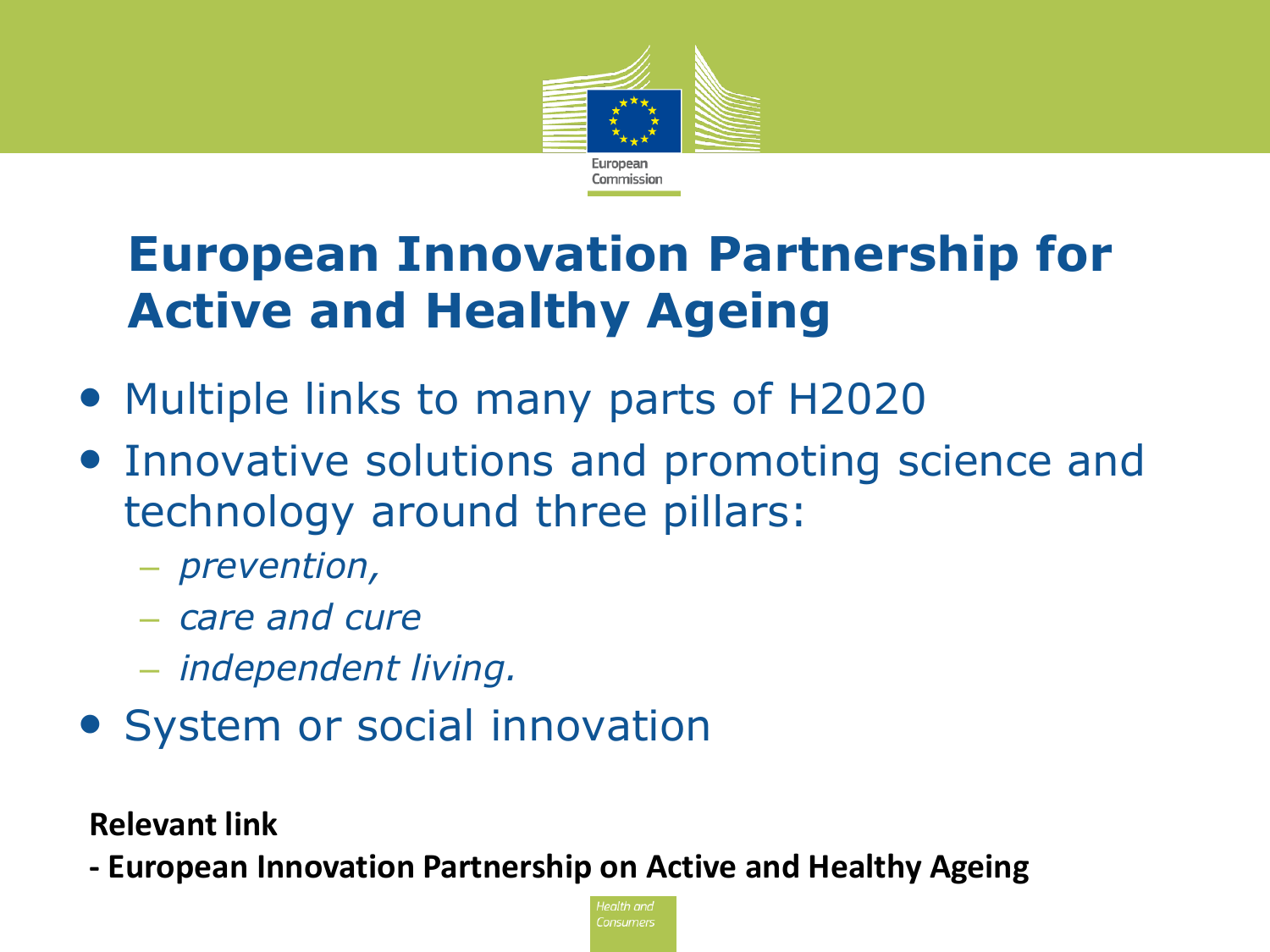

### **European Innovation Partnership for Active and Healthy Ageing**

- Multiple links to many parts of H2020
- Innovative solutions and promoting science and technology around three pillars:
	- *prevention,*
	- *care and cure*
	- *independent living.*
- System or social innovation

**Relevant link**

**- European Innovation Partnership on Active and Healthy Ageing**

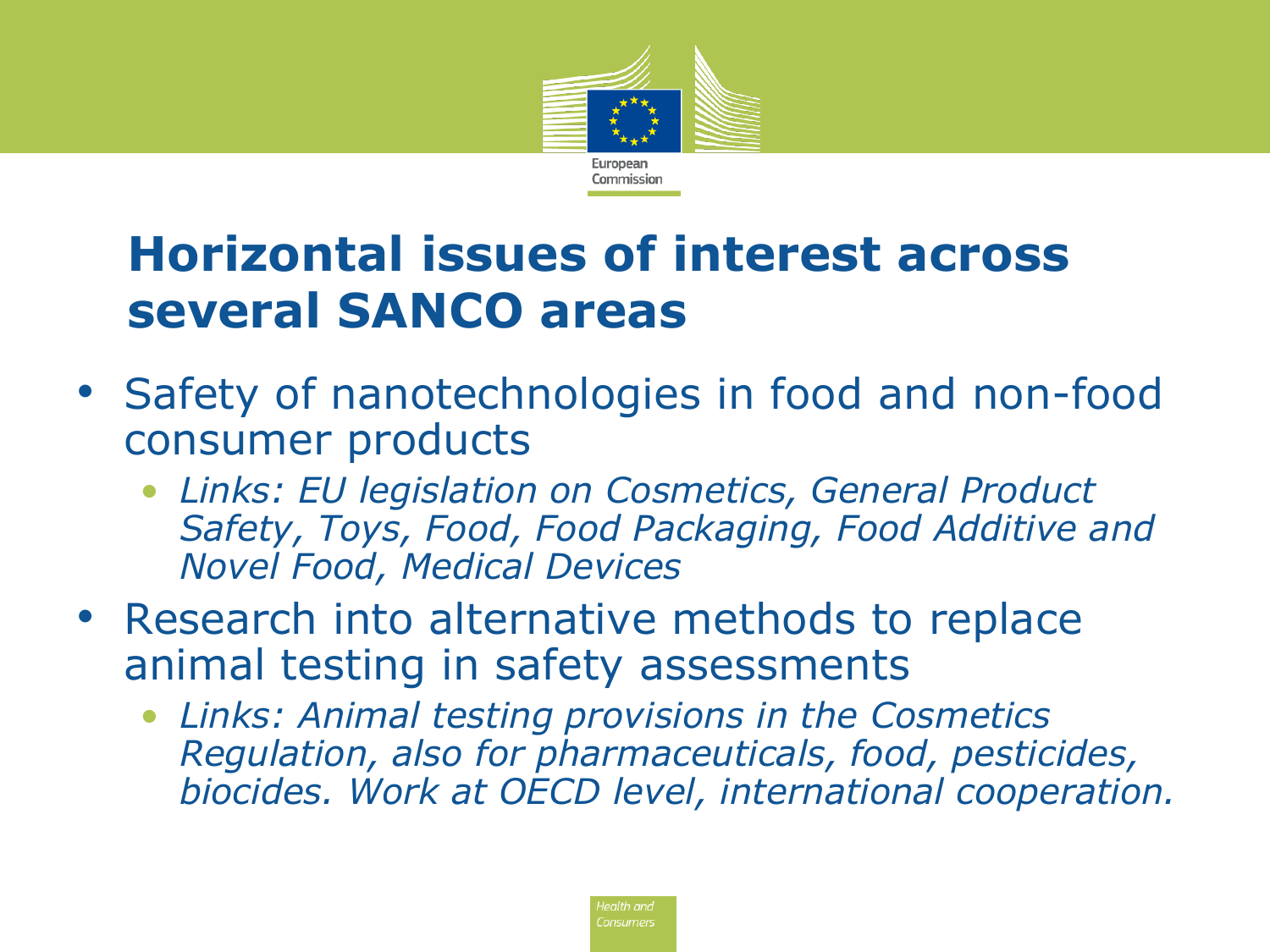

### **Horizontal issues of interest across several SANCO areas**

- Safety of nanotechnologies in food and non-food consumer products
	- *Links: EU legislation on Cosmetics, General Product Safety, Toys, Food, Food Packaging, Food Additive and Novel Food, Medical Devices*
- Research into alternative methods to replace animal testing in safety assessments
	- *Links: Animal testing provisions in the Cosmetics Regulation, also for pharmaceuticals, food, pesticides, biocides. Work at OECD level, international cooperation.*